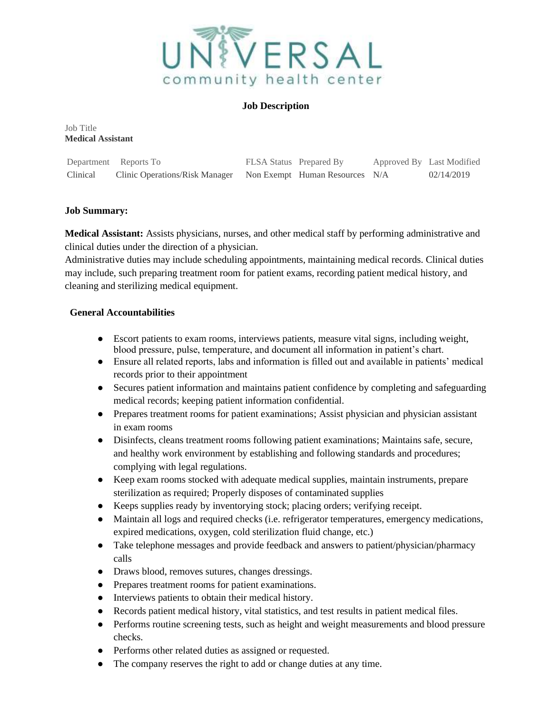

### **Job Description**

Job Title **Medical Assistant** 

|          | Department Reports To                                         | FLSA Status Prepared By |  | Approved By Last Modified |
|----------|---------------------------------------------------------------|-------------------------|--|---------------------------|
| Clinical | Clinic Operations/Risk Manager Non Exempt Human Resources N/A |                         |  | 02/14/2019                |

## **Job Summary:**

**Medical Assistant:** Assists physicians, nurses, and other medical staff by performing administrative and clinical duties under the direction of a physician.

Administrative duties may include scheduling appointments, maintaining medical records. Clinical duties may include, such preparing treatment room for patient exams, recording patient medical history, and cleaning and sterilizing medical equipment.

## **General Accountabilities**

- Escort patients to exam rooms, interviews patients, measure vital signs, including weight, blood pressure, pulse, temperature, and document all information in patient's chart.
- Ensure all related reports, labs and information is filled out and available in patients' medical records prior to their appointment
- Secures patient information and maintains patient confidence by completing and safeguarding medical records; keeping patient information confidential.
- Prepares treatment rooms for patient examinations; Assist physician and physician assistant in exam rooms
- Disinfects, cleans treatment rooms following patient examinations; Maintains safe, secure, and healthy work environment by establishing and following standards and procedures; complying with legal regulations.
- Keep exam rooms stocked with adequate medical supplies, maintain instruments, prepare sterilization as required; Properly disposes of contaminated supplies
- Keeps supplies ready by inventorying stock; placing orders; verifying receipt.
- Maintain all logs and required checks (i.e. refrigerator temperatures, emergency medications, expired medications, oxygen, cold sterilization fluid change, etc.)
- Take telephone messages and provide feedback and answers to patient/physician/pharmacy calls
- Draws blood, removes sutures, changes dressings.
- Prepares treatment rooms for patient examinations.
- Interviews patients to obtain their medical history.
- Records patient medical history, vital statistics, and test results in patient medical files.
- Performs routine screening tests, such as height and weight measurements and blood pressure checks.
- Performs other related duties as assigned or requested.
- The company reserves the right to add or change duties at any time.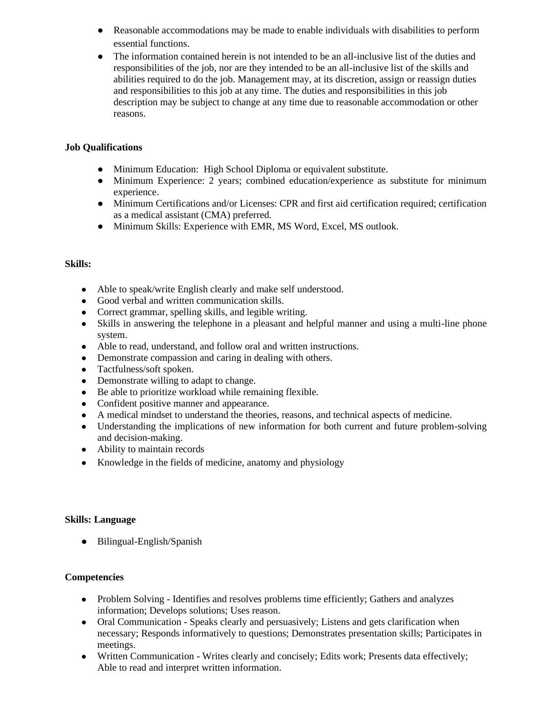- Reasonable accommodations may be made to enable individuals with disabilities to perform essential functions.
- The information contained herein is not intended to be an all-inclusive list of the duties and responsibilities of the job, nor are they intended to be an all-inclusive list of the skills and abilities required to do the job. Management may, at its discretion, assign or reassign duties and responsibilities to this job at any time. The duties and responsibilities in this job description may be subject to change at any time due to reasonable accommodation or other reasons.

## **Job Qualifications**

- Minimum Education: High School Diploma or equivalent substitute.
- Minimum Experience: 2 years; combined education/experience as substitute for minimum experience.
- Minimum Certifications and/or Licenses: CPR and first aid certification required; certification as a medical assistant (CMA) preferred.
- Minimum Skills: Experience with EMR, MS Word, Excel, MS outlook.

#### **Skills:**

- Able to speak/write English clearly and make self understood.
- Good verbal and written communication skills.
- Correct grammar, spelling skills, and legible writing.
- Skills in answering the telephone in a pleasant and helpful manner and using a multi-line phone system.
- Able to read, understand, and follow oral and written instructions.
- Demonstrate compassion and caring in dealing with others.
- Tactfulness/soft spoken.
- Demonstrate willing to adapt to change.
- Be able to prioritize workload while remaining flexible.
- Confident positive manner and appearance.
- A medical mindset to understand the theories, reasons, and technical aspects of medicine.
- Understanding the implications of new information for both current and future problem-solving and decision-making.
- Ability to maintain records
- Knowledge in the fields of medicine, anatomy and physiology

#### **Skills: Language**

● Bilingual-English/Spanish

### **Competencies**

- Problem Solving Identifies and resolves problems time efficiently; Gathers and analyzes information; Develops solutions; Uses reason.
- Oral Communication Speaks clearly and persuasively; Listens and gets clarification when necessary; Responds informatively to questions; Demonstrates presentation skills; Participates in meetings.
- Written Communication Writes clearly and concisely; Edits work; Presents data effectively; Able to read and interpret written information.